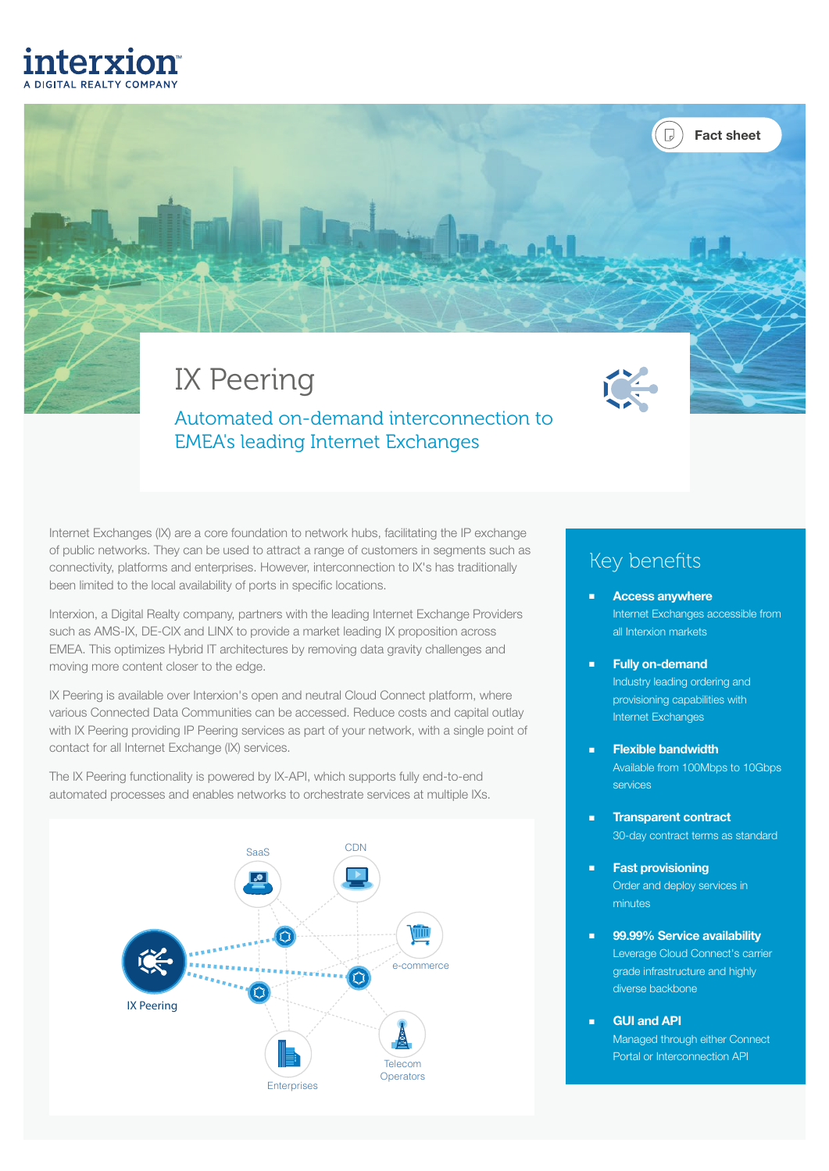# interxion

# IX Peering

Automated on-demand interconnection to EMEA's leading Internet Exchanges

Internet Exchanges (IX) are a core foundation to network hubs, facilitating the IP exchange of public networks. They can be used to attract a range of customers in segments such as connectivity, platforms and enterprises. However, interconnection to IX's has traditionally been limited to the local availability of ports in specific locations.

Interxion, a Digital Realty company, partners with the leading Internet Exchange Providers such as AMS-IX, DE-CIX and LINX to provide a market leading IX proposition across EMEA. This optimizes Hybrid IT architectures by removing data gravity challenges and moving more content closer to the edge.

IX Peering is available over Interxion's open and neutral Cloud Connect platform, where various Connected Data Communities can be accessed. Reduce costs and capital outlay with IX Peering providing IP Peering services as part of your network, with a single point of contact for all Internet Exchange (IX) services.





#### Key benefits

**Access anywhere** Internet Exchanges accessible from all Interxion markets

Fact sheet

΄ Π

- Fully on-demand Industry leading ordering and provisioning capabilities with Internet Exchanges
- **Flexible bandwidth** Available from 100Mbps to 10Gbps services
- Transparent contract 30-day contract terms as standard
- Fast provisioning Order and deploy services in minutes
- 99.99% Service availability Leverage Cloud Connect's carrier grade infrastructure and highly diverse backbone
- GUI and API Managed through either Connect Portal or Interconnection API